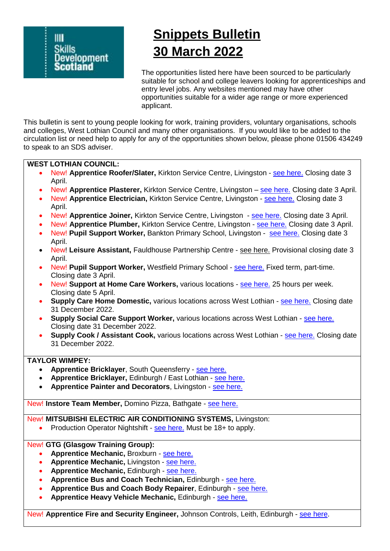

# **Snippets Bulletin 30 March 2022**

The opportunities listed here have been sourced to be particularly suitable for school and college leavers looking for apprenticeships and entry level jobs. Any websites mentioned may have other opportunities suitable for a wider age range or more experienced applicant.

This bulletin is sent to young people looking for work, training providers, voluntary organisations, schools and colleges, West Lothian Council and many other organisations. If you would like to be added to the circulation list or need help to apply for any of the opportunities shown below, please phone 01506 434249 to speak to an SDS adviser.

# **WEST LOTHIAN COUNCIL:**

- New! **Apprentice Roofer/Slater,** Kirkton Service Centre, Livingston [see here.](https://www.myjobscotland.gov.uk/councils/west-lothian-council/jobs/apprentice-rooferslater-x-3-kirkton-service-centre-45344-265730) Closing date 3 April.
- New! **Apprentice Plasterer,** Kirkton Service Centre, Livingston [see here.](https://www.myjobscotland.gov.uk/councils/west-lothian-council/jobs/apprentice-plasterer-x-2-kirkton-service-centre-45346-265734) Closing date 3 April.
- New! **Apprentice Electrician,** Kirkton Service Centre, Livingston [see here.](https://www.myjobscotland.gov.uk/councils/west-lothian-council/jobs/apprentice-electrician-x-8-kirkton-service-centre-45342-265837) Closing date 3 April.
- New! **Apprentice Joiner,** Kirkton Service Centre, Livingston [see here.](https://www.myjobscotland.gov.uk/councils/west-lothian-council/jobs/apprentice-joiner-x-5-kirkton-service-centre-45343-265870) Closing date 3 April.
- New! **Apprentice Plumber,** Kirkton Service Centre, Livingston [see here.](https://www.myjobscotland.gov.uk/councils/west-lothian-council/jobs/apprentice-plumber-x-3-kirkton-service-centre-45345-265871) Closing date 3 April.
- New! **Pupil Support Worker,** Bankton Primary School, Livingston [see here.](https://www.myjobscotland.gov.uk/councils/west-lothian-council/jobs/pupil-support-worker-elc-bankton-primary-school-45321-265828) Closing date 3 April.
- New! **Leisure Assistant,** Fauldhouse Partnership Centre [see here.](https://www.myjobscotland.gov.uk/councils/west-lothian-council/jobs/leisure-assistant-fauldhouse-partnership-centre-45430-267162) Provisional closing date 3 April.
- New! Pupil Support Worker, Westfield Primary School [see here.](https://www.myjobscotland.gov.uk/councils/west-lothian-council/jobs/pupil-support-worker-westfield-primary-school-45341-265761) Fixed term, part-time. Closing date 3 April.
- New! **Support at Home Care Workers,** various locations [see here.](https://www.myjobscotland.gov.uk/councils/west-lothian-council/jobs/support-home-care-workers-community-based-44511-228165) 25 hours per week. Closing date 5 April.
- **Supply Care Home Domestic,** various locations across West Lothian [see here.](https://www.myjobscotland.gov.uk/councils/west-lothian-council/jobs/supply-care-home-domestic-house-kitchen-laundry-41806-152534) Closing date 31 December 2022.
- **Supply Social Care Support Worker,** various locations across West Lothian [see here.](https://www.myjobscotland.gov.uk/councils/west-lothian-council/jobs/supply-social-care-support-worker-41804-152535) Closing date 31 December 2022.
- **Supply Cook / Assistant Cook,** various locations across West Lothian [see here.](https://www.myjobscotland.gov.uk/councils/west-lothian-council/jobs/supply-cookassistant-cook-41805-152536) Closing date 31 December 2022.

# **TAYLOR WIMPEY:**

- **Apprentice Bricklayer**, South Queensferry [see here.](https://jobs.taylorwimpey.co.uk/vacancies/3461/apprentice_bricklayer/)
- **Apprentice Bricklayer,** Edinburgh / East Lothian [see here.](https://jobs.taylorwimpey.co.uk/vacancies/3462/apprentice_bricklayer/)
- **Apprentice Painter and Decorators**, Livingston [see here.](https://jobs.taylorwimpey.co.uk/vacancies/3460/apprentice_painter_decorators/)

New! Instore Team Member, Domino Pizza, Bathgate - [see here.](https://uk.indeed.com/?vjk=5c27aad408bebcc2&advn=6974857778390294)

# New! **MITSUBISHI ELECTRIC AIR CONDITIONING SYSTEMS,** Livingston:

• Production Operator Nightshift - [see here.](https://uk.indeed.com/?vjk=54221197c61bead0&advn=3282760382053056) Must be 18+ to apply.

#### New! **GTG (Glasgow Training Group):**

- **Apprentice Mechanic, Broxburn [see here.](https://careers.gtg.co.uk/job/apprentice-mechanic-14563.aspx)**
- **Apprentice Mechanic, Livingston [see here.](https://careers.gtg.co.uk/job/apprentice-mechanic-14562.aspx)**
- **Apprentice Mechanic, Edinburgh [see here.](https://careers.gtg.co.uk/job/apprentice-mechanic-14557.aspx)**
- **Apprentice Bus and Coach Technician, Edinburgh [see here.](https://careers.gtg.co.uk/job/apprentice-bus-and-coach-technician-14166.aspx)**
- **Apprentice Bus and Coach Body Repairer**, Edinburgh [see here.](https://careers.gtg.co.uk/job/apprentice-bus-and-coach-body-repairer-14165.aspx)
- **Apprentice Heavy Vehicle Mechanic,** Edinburgh [see here.](https://careers.gtg.co.uk/job/apprentice-heavy-vehicle-mechanic-13889.aspx)

New! **Apprentice Fire and Security Engineer,** Johnson Controls, Leith, Edinburgh - [see here.](https://jci.wd5.myworkdayjobs.com/en-US/JCI/job/Edinburgh-Edinburgh-United-Kingdom/Apprentice-Fire---Security-Engineer_WD30139781?source=Indeed_Paid)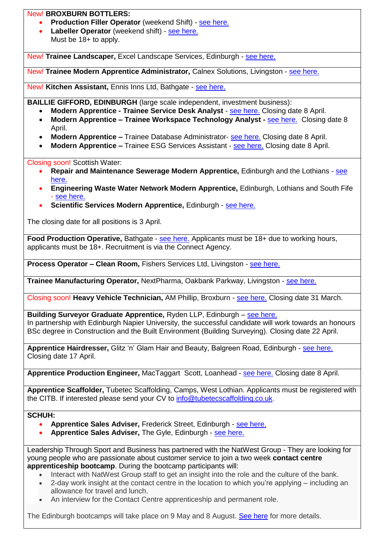# New! **BROXBURN BOTTLERS:**

- **Production Filler Operator** (weekend Shift) [see here.](https://uk.indeed.com/?vjk=d7fb4ad35675aa50&advn=8381434818084105)
- Labeller Operator (weekend shift) [see here.](https://uk.indeed.com/?vjk=26dee670b5788cd8&advn=8381434818084105) Must be 18+ to apply.

New! **Trainee Landscaper,** Excel Landscape Services, Edinburgh - [see here.](https://uk.indeed.com/?vjk=a4e29a1895a96523)

New! **Trainee Modern Apprentice Administrator,** Calnex Solutions, Livingston - [see here.](https://calnexsolutions.peoplehr.net/Pages/JobBoard/Opening.aspx?v=15d6dc3d-4523-480d-8a73-f18ea7daf6c2)

New! **Kitchen Assistant,** Ennis Inns Ltd, Bathgate - [see here.](https://uk.indeed.com/?vjk=151184188cebd223)

**BAILLIE GIFFORD, EDINBURGH** (large scale independent, investment business);

- **Modern Apprentice - Trainee Service Desk Analyst** [see here.](https://bailliegifford.wd3.myworkdayjobs.com/en-US/BaillieGiffordEarlyCareers/job/Edinburgh/Modern-Apprentice---Trainee-Service-Desk-Analyst_R0003079) Closing date 8 April.
	- **Modern Apprentice – Trainee Workspace Technology Analyst -** [see here.](https://bailliegifford.wd3.myworkdayjobs.com/en-US/BaillieGiffordEarlyCareers/job/Edinburgh/Modern-Apprentice---Trainee-Workspace-Technology-Analyst_R0003081) Closing date 8 April.
	- **Modern Apprentice –** Trainee Database Administrator- [see here.](https://bailliegifford.wd3.myworkdayjobs.com/en-US/BaillieGiffordEarlyCareers/job/Edinburgh/Trainee-Database-Administrator_R0003083) Closing date 8 April.
	- **Modern Apprentice –** Trainee ESG Services Assistant [see here.](https://bailliegifford.wd3.myworkdayjobs.com/en-US/BaillieGiffordEarlyCareers/job/Edinburgh/Modern-Apprentice---Trainee-ESG-Services-Assistant_R0003084) Closing date 8 April.

Closing soon! Scottish Water:

- **Repair and Maintenance Sewerage Modern Apprentice,** Edinburgh and the Lothians [see](https://scottishwater.wd3.myworkdayjobs.com/en-US/External_Careers/job/Fairmilehead-Office-Edinburgh/Repair-and-Maintenance-Sewerage-Modern-Apprentice--Edinburgh-and-Lothians-_R2885)  [here.](https://scottishwater.wd3.myworkdayjobs.com/en-US/External_Careers/job/Fairmilehead-Office-Edinburgh/Repair-and-Maintenance-Sewerage-Modern-Apprentice--Edinburgh-and-Lothians-_R2885)
- **Engineering Waste Water Network Modern Apprentice,** Edinburgh, Lothians and South Fife - [see here.](https://scottishwater.wd3.myworkdayjobs.com/en-US/External_Careers/job/Fairmilehead-Office-Edinburgh/Engineering-Waste-Water-Network-Modern-Apprentice---Edinburgh--Lothians---South-Fife-_R2895)
- **Scientific Services Modern Apprentice,** Edinburgh [see here.](https://scottishwater.wd3.myworkdayjobs.com/en-US/External_Careers/job/Juniper-House-Edinburgh/Scientific-Services-Modern-Apprentice---Edinburgh-_R2900)

The closing date for all positions is 3 April.

**Food Production Operative, Bathgate - [see here.](https://www.aplitrak.com/?adid=bGIuNTI0NTkuNDcwN0BwZndyZWNydWl0bWVudC5hcGxpdHJhay5jb20)** Applicants must be 18+ due to working hours, applicants must be 18+. Recruitment is via the Connect Agency.

**Process Operator – Clean Room,** Fishers Services Ltd, Livingston - [see here.](https://uk.indeed.com/?vjk=84f793ddb9baf191&advn=7635029790092505)

**Trainee Manufacturing Operator,** NextPharma, Oakbank Parkway, Livingston - [see here.](https://uk.indeed.com/viewjob?jk=7c8ee73c8140eb9c&q=apprentice,+trainee,+junior&l=Livingston&tk=1ft3e0fvanahr800&from=ja&alid=5cd2b0d90cf7333039286fd7&utm_campaign=job_alerts&utm_medium=email&utm_source=jobseeker_emails&rgtk=1ft3e0fvanahr800)

Closing soon! **Heavy Vehicle Technician,** AM Phillip, Broxburn - [see here.](https://www.apprenticeships.scot/vacancy-details/?refCode=140688) Closing date 31 March.

**Building Surveyor Graduate Apprentice,** Ryden LLP, Edinburgh – [see here.](https://www.apprenticeships.scot/vacancy-details/?refCode=141064) [In partnership with Edinburgh Napier University, the successful candidate will work towards](In%20partnership%20with%20Edinburgh%20Napier%20University,%20the%20candidate%20will%20obtain%20an%20honours%20BSc%20degree%20in%20Construction%20and%20the%20Built%20Environment%20(Building%20Surveying).) an honours [BSc degree in Construction and the Built Environment \(Building Surveying\).](In%20partnership%20with%20Edinburgh%20Napier%20University,%20the%20candidate%20will%20obtain%20an%20honours%20BSc%20degree%20in%20Construction%20and%20the%20Built%20Environment%20(Building%20Surveying).) Closing date 22 April.

**Apprentice Hairdresser,** Glitz 'n' Glam Hair and Beauty, Balgreen Road, Edinburgh - [see here.](https://www.apprenticeships.scot/vacancy-details/?refCode=140369) Closing date 17 April.

**Apprentice Production Engineer,** MacTaggart Scott, Loanhead - [see here.](https://www.mactag.com/careers/apprenticeships) Closing date 8 April.

**Apprentice Scaffolder,** Tubetec Scaffolding, Camps, West Lothian. Applicants must be registered with the CITB. If interested please send your CV to [info@tubetecscaffolding.co.uk.](mailto:info@tubetecscaffolding.co.uk)

# **SCHUH:**

- **Apprentice Sales Adviser,** Frederick Street, Edinburgh [see here.](https://careers.schuh.co.uk/listings/store/5/3978/)
- **Apprentice Sales Adviser,** The Gyle, Edinburgh [see here.](https://careers.schuh.co.uk/listings/store/5/3980/)

Leadership Through Sport and Business has partnered with the NatWest Group - They are looking for young people who are passionate about customer service to join a two week **contact centre apprenticeship bootcamp**. During the bootcamp participants will:

- Interact with NatWest Group staff to get an insight into the role and the culture of the bank.
- 2-day work insight at the contact centre in the location to which you're applying including an allowance for travel and lunch.
- An interview for the Contact Centre apprenticeship and permanent role.

The Edinburgh bootcamps will take place on 9 May and 8 August. [See here](https://ltsb.charity/contact-centres/#1584114066787-df4c0941-f26f) for more details.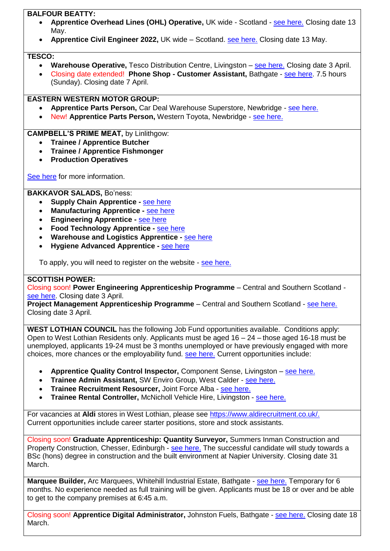# **BALFOUR BEATTY:**

- **Apprentice Overhead Lines (OHL) Operative,** UK wide Scotland [see here.](https://www.balfourbeattycareers.com/job-detail?detail=uk417-apprentice-overhead-lines-ohl-operative-uk-wide-2022) Closing date 13 May.
- **Apprentice Civil Engineer 2022,** UK wide Scotland. [see here.](https://www.balfourbeattycareers.com/job-detail?detail=uk359-apprentice-civil-engineer-level-3-scotland-2022) Closing date 13 May.

# **TESCO:**

- **Warehouse Operative,** Tesco Distribution Centre, Livingston [see here.](https://www.tesco-careers.com/jobdetails/711471/) Closing date 3 April.
- Closing date extended! **Phone Shop - Customer Assistant,** Bathgate [see here.](https://www.tesco-careers.com/jobdetails/706651/) 7.5 hours (Sunday). Closing date 7 April.

# **EASTERN WESTERN MOTOR GROUP:**

- **Apprentice Parts Person,** Car Deal Warehouse Superstore, Newbridge [see here.](https://www.ewcareers.co.uk/current-vacancies/Apprentice-Parts-Person/4168/)
- New! **Apprentice Parts Person,** Western Toyota, Newbridge [see here.](https://www.ewcareers.co.uk/current-vacancies/Apprentice-Parts-Person/4313/)

# **CAMPBELL'S PRIME MEAT,** by Linlithgow:

- **Trainee / Apprentice Butcher**
- **Trainee / Apprentice Fishmonger**
- **Production Operatives**

[See here](https://www.campbellsmeat.com/recruitment) for more information.

# **BAKKAVOR SALADS,** Bo'ness:

- **Supply Chain Apprentice -** [see here](https://www.apprenticeships.scot/vacancy-details/?refCode=139715)
- **Manufacturing Apprentice -** [see here](https://www.apprenticeships.scot/vacancy-details/?refCode=140026)
- **Engineering Apprentice -** [see here](https://www.apprenticeships.scot/vacancy-details/?refCode=139717)
- **Food Technology Apprentice -** [see here](https://www.apprenticeships.scot/vacancy-details/?refCode=139719)
- **Warehouse and Logistics Apprentice -** [see here](https://www.apprenticeships.scot/vacancy-details/?refCode=139625)
- **Hygiene Advanced Apprentice -** [see here](https://www.apprenticeships.scot/vacancy-details/?refCode=139720)

To apply, you will need to register on the website - [see here.](https://bakkavorcandidate.gradweb.co.uk/apprentices2022/CandidateLogin.aspx)

# **SCOTTISH POWER:**

Closing soon! **Power Engineering Apprenticeship Programme** – Central and Southern Scotland [see here.](https://www.scottishpower.com/pages/power_engineering_apprentice_programme.aspx) Closing date 3 April.

**Project Management Apprenticeship Programme** – Central and Southern Scotland - [see here.](https://www.scottishpower.com/pages/project_management_apprenticeship_programme.aspx) Closing date 3 April.

**WEST LOTHIAN COUNCIL** has the following Job Fund opportunities available. Conditions apply: Open to West Lothian Residents only. Applicants must be aged 16 – 24 – those aged 16-18 must be unemployed, applicants 19-24 must be 3 months unemployed or have previously engaged with more choices, more chances or the employability fund. [see here.](http://www.positive-destinations.co.uk/article/6156/Job-Search?sort=Relevance&size=50&page=1#top) Current opportunities include:

- **Apprentice Quality Control Inspector,** Component Sense, Livingston [see here.](http://www.positive-destinations.co.uk/article/37747/Wage-Subsidy-Apprentice-Quality-Control-Inspector)
- **Trainee Admin Assistant,** SW Enviro Group, West Calder [see here.](http://www.positive-destinations.co.uk/article/43818/Trainee-Admin-Assistant---SW-Enviro-Group-Units-5-13-Society-Place-West-Calder-West-Lothian-EH55-8SA)
- **Trainee Recruitment Resourcer,** Joint Force Alba [see here.](http://www.positive-destinations.co.uk/article/44142/Trainee-Recruitment-Resourcer---Joint-Force-Alba-Broxburn)
- **Trainee Rental Controller,** McNicholl Vehicle Hire, Livingston [see here.](http://www.positive-destinations.co.uk/article/44143/Trainee-Rental-Controller---McNicoll-Vehicle-Hire-LTD-Houston-Mains-Livingston)

For vacancies at **Aldi** stores in West Lothian, please see [https://www.aldirecruitment.co.uk/.](https://www.aldirecruitment.co.uk/) Current opportunities include career starter positions, store and stock assistants.

Closing soon! **Graduate Apprenticeship: Quantity Surveyor,** Summers Inman Construction and Property Construction, Chesser, Edinburgh - [see here.](https://www.apprenticeships.scot/vacancy-details/?refCode=139566) The successful candidate will study towards a BSc (hons) degree in construction and the built environment at Napier University. Closing date 31 March.

**Marquee Builder,** Arc Marquees, Whitehill Industrial Estate, Bathgate - [see here.](https://arcmarquees.com/marquee-erector-job-details/) Temporary for 6 months. No experience needed as full training will be given. Applicants must be 18 or over and be able to get to the company premises at 6:45 a.m.

Closing soon! **Apprentice Digital Administrator,** Johnston Fuels, Bathgate - [see here.](https://qaapprenticeships.kallidusrecruit.com/vacancyinformation.aspx?vguid=b1cd6741-542d-4990-80b6-056886b4e712) Closing date 18 March.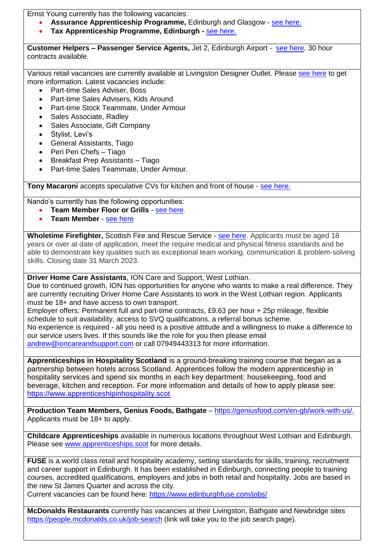Ernst Young currently has the following vacancies:

- **Assurance Apprenticeship Programme,** Edinburgh and Glasgow [see here.](https://www.ey.com/en_uk/careers/students/programmes/schools/assurance)
- **Tax Apprenticeship Programme, Edinburgh -** [see here.](https://www.ey.com/en_uk/careers/students/programmes/schools/tax)

**Customer Helpers – Passenger Service Agents,** Jet 2, Edinburgh Airport - [see here.](https://krb-sjobs.brassring.com/TGnewUI/Search/home/HomeWithPreLoad?partnerid=30013&siteid=5476&PageType=JobDetails&jobid=1879160&codes=Indeed#jobDetails=1879160_5476) 30 hour contracts available.

Various retail vacancies are currently available at Livingston Designer Outlet. Please [see here](https://livingston-designer-outlet.co.uk/careers/) to get more information. Latest vacancies include:

- Part-time Sales Adviser, Boss
- Part-time Sales Advisers, Kids Around
- Part-time Stock Teammate, Under Armour
- Sales Associate, Radley
- Sales Associate, Gift Company
- Stylist, Levi's
- General Assistants, Tiago
- Peri Peri Chefs Tiago
- Breakfast Prep Assistants Tiago
- Part-time Sales Teammate, Under Armour.

**Tony Macaroni** accepts speculative CVs for kitchen and front of house - [see here.](https://www.tonymacaroni.co.uk/jobs/)

Nando's currently has the following opportunities:

- **Team Member Floor or Grills** [see here.](https://nandos.wd3.myworkdayjobs.com/en-US/Nandos/job/Nandos-Livingston---Almondvale-Ave-Livingston-EH54-6HR/Nandos-team-member--Floor-or-grills_R0000012413?source=Indeed)
- **Team Member** [see here](https://nandos.wd3.myworkdayjobs.com/en-US/Nandos/job/Nandos-Livingston---Almondvale-Ave-Livingston-EH54-6HR/Nandos-team-member_R0000011397?source=Indeed)

Wholetime Firefighter, Scottish Fire and Rescue Service - [see here.](https://www.myjobscotland.gov.uk/emergency-services/scottish-fire-and-rescue-service/jobs/wholetime-firefighter-200455) Applicants must be aged 18 years or over at date of application, meet the require medical and physical fitness standards and be able to demonstrate key qualities such as exceptional team working, communication & problem-solving skills. Closing date 31 March 2023.

**Driver Home Care Assistants**, ION Care and Support, West Lothian.

Due to continued growth, ION has opportunities for anyone who wants to make a real difference. They are currently recruiting Driver Home Care Assistants to work in the West Lothian region. Applicants must be 18+ and have access to own transport.

Employer offers: Permanent full and part-time contracts, £9.63 per hour + 25p mileage, flexible schedule to suit availability, access to SVQ qualifications, a referral bonus scheme. No experience is required - all you need is a positive attitude and a willingness to make a difference to our service users lives. If this sounds like the role for you then please email [andrew@ioncareandsupport.com](mailto:andrew@ioncareandsupport.com) or call 07949443313 for more information.

**Apprenticeships in Hospitality Scotland** is a ground-breaking training course that began as a partnership between hotels across Scotland. Apprentices follow the modern apprenticeship in hospitality services and spend six months in each key department: housekeeping, food and beverage, kitchen and reception. For more information and details of how to apply please see: [https://www.apprenticeshipinhospitality.scot](https://www.apprenticeshipinhospitality.scot/)

**Production Team Members, Genius Foods, Bathgate** – [https://geniusfood.com/en-gb/work-with-us/.](https://geniusfood.com/en-gb/work-with-us/) Applicants must be 18+ to apply.

**Childcare Apprenticeships** available in numerous locations throughout West Lothian and Edinburgh. Please see [www.apprenticeships.scot](http://www.apprenticeships.scot/) for more details.

**FUSE** is a world class retail and hospitality academy, setting standards for skills, training, recruitment and career support in Edinburgh. It has been established in Edinburgh, connecting people to training courses, accredited qualifications, employers and jobs in both retail and hospitality. Jobs are based in the new St James Quarter and across the city.

Current vacancies can be found here:<https://www.edinburghfuse.com/jobs/>

**McDonalds Restaurants** currently has vacancies at their Livingston, Bathgate and Newbridge sites <https://people.mcdonalds.co.uk/job-search> (link will take you to the job search page).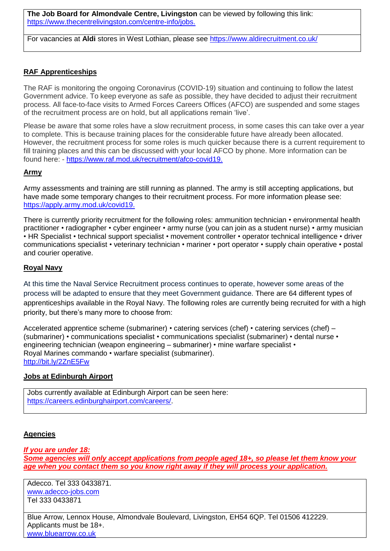**The Job Board for Almondvale Centre, Livingston** can be viewed by following this link: [https://www.thecentrelivingston.com/centre-info/jobs.](https://www.thecentrelivingston.com/centre-info/jobs)

For vacancies at **Aldi** stores in West Lothian, please see<https://www.aldirecruitment.co.uk/>

# **RAF Apprenticeships**

The RAF is monitoring the ongoing Coronavirus (COVID-19) situation and continuing to follow the latest Government advice. To keep everyone as safe as possible, they have decided to adjust their recruitment process. All face-to-face visits to Armed Forces Careers Offices (AFCO) are suspended and some stages of the recruitment process are on hold, but all applications remain 'live'.

Please be aware that some roles have a slow recruitment process, in some cases this can take over a year to complete. This is because training places for the considerable future have already been allocated. However, the recruitment process for some roles is much quicker because there is a current requirement to fill training places and this can be discussed with your local AFCO by phone. More information can be found here: - [https://www.raf.mod.uk/recruitment/afco-covid19.](https://www.raf.mod.uk/recruitment/afco-covid19)

#### **Army**

Army assessments and training are still running as planned. The army is still accepting applications, but have made some temporary changes to their recruitment process. For more information please see: [https://apply.army.mod.uk/covid19.](https://apply.army.mod.uk/covid19)

There is currently priority recruitment for the following roles: ammunition technician • environmental health practitioner • radiographer • cyber engineer • army nurse (you can join as a student nurse) • army musician • HR Specialist • technical support specialist • movement controller • operator technical intelligence • driver communications specialist • veterinary technician • mariner • port operator • supply chain operative • postal and courier operative.

#### **Royal Navy**

At this time the Naval Service Recruitment process continues to operate, however some areas of the process will be adapted to ensure that they meet Government guidance. There are 64 different types of apprenticeships available in the Royal Navy. The following roles are currently being recruited for with a high priority, but there's many more to choose from:

Accelerated apprentice scheme (submariner) • catering services (chef) • catering services (chef) – (submariner) • communications specialist • communications specialist (submariner) • dental nurse • engineering technician (weapon engineering – submariner) • mine warfare specialist • Royal Marines commando • warfare specialist (submariner). <http://bit.ly/2ZnE5Fw>

# **Jobs at Edinburgh Airport**

Jobs currently available at Edinburgh Airport can be seen here: [https://careers.edinburghairport.com/careers/.](https://careers.edinburghairport.com/careers/)

#### **Agencies**

*If you are under 18: Some agencies will only accept applications from people aged 18+, so please let them know your age when you contact them so you know right away if they will process your application.*

Adecco. Tel 333 0433871. [www.adecco-jobs.com](http://www.adecco-jobs.com/)  Tel 333 0433871

Blue Arrow, Lennox House, Almondvale Boulevard, Livingston, EH54 6QP. Tel 01506 412229. Applicants must be 18+. [www.bluearrow.co.uk](http://www.bluearrow.co.uk/)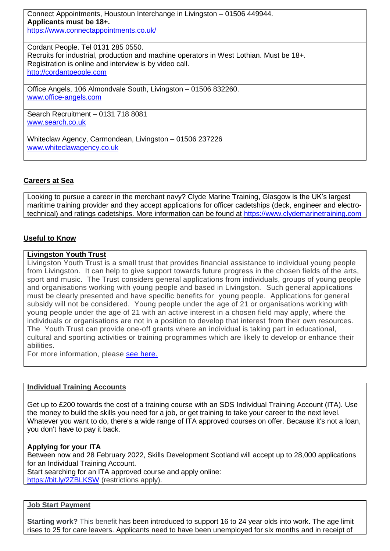Connect Appointments, Houstoun Interchange in Livingston – 01506 449944. **Applicants must be 18+.** <https://www.connectappointments.co.uk/>

Cordant People. Tel 0131 285 0550. Recruits for industrial, production and machine operators in West Lothian. Must be 18+. Registration is online and interview is by video call. [http://cordantpeople.com](http://cordantpeople.com/)

Office Angels, 106 Almondvale South, Livingston – 01506 832260. [www.office-angels.com](http://www.office-angels.com/)

Search Recruitment – 0131 718 8081 [www.search.co.uk](http://www.search.co.uk/)

Whiteclaw Agency, Carmondean, Livingston – 01506 237226 [www.whiteclawagency.co.uk](http://www.whiteclawagency.co.uk/)

# **Careers at Sea**

Looking to pursue a career in the merchant navy? Clyde Marine Training, Glasgow is the UK's largest maritime training provider and they accept applications for officer cadetships (deck, engineer and electrotechnical) and ratings cadetships. More information can be found at [https://www.clydemarinetraining.com](https://www.clydemarinetraining.com/)

# **Useful to Know**

#### **Livingston Youth Trust**

Livingston Youth Trust is a small trust that provides financial assistance to individual young people from Livingston. It can help to give support towards future progress in the chosen fields of the arts, sport and music. The Trust considers general applications from individuals, groups of young people and organisations working with young people and based in Livingston. Such general applications must be clearly presented and have specific benefits for young people. Applications for general subsidy will not be considered. Young people under the age of 21 or organisations working with young people under the age of 21 with an active interest in a chosen field may apply, where the individuals or organisations are not in a position to develop that interest from their own resources. The Youth Trust can provide one-off grants where an individual is taking part in educational, cultural and sporting activities or training programmes which are likely to develop or enhance their abilities.

For more information, please [see here.](https://www.westlothian.gov.uk/article/45240/Livingston-Youth-Trust?fbclid=IwAR3cMLub699orSjLx4JOuDjtgOBY1gG0Rwv9EpbslBNBiqQrmYuCXnZWM6I)

#### **Individual Training Accounts**

Get up to £200 towards the cost of a training course with an SDS Individual Training Account (ITA). Use the money to build the skills you need for a job, or get training to take your career to the next level. Whatever you want to do, there's a wide range of ITA approved courses on offer. Because it's not a loan, you don't have to pay it back.

#### **Applying for your ITA**

Between now and 28 February 2022, Skills Development Scotland will accept up to 28,000 applications for an Individual Training Account.

Start searching for an ITA approved course and apply online: <https://bit.ly/2ZBLKSW> (restrictions apply).

# **Job Start Payment**

**Starting work?** This benefit has been introduced to support 16 to 24 year olds into work. The age limit rises to 25 for care leavers. Applicants need to have been unemployed for six months and in receipt of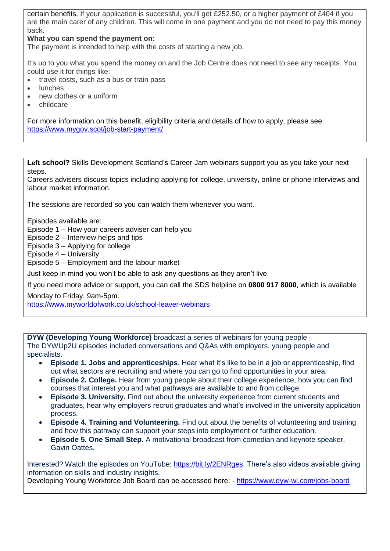certain benefits. If your application is successful, you'll get £252.50, or a higher payment of £404 if you are the main carer of any children. This will come in one payment and you do not need to pay this money back.

## **What you can spend the payment on:**

The payment is intended to help with the costs of starting a new job.

It's up to you what you spend the money on and the Job Centre does not need to see any receipts. You could use it for things like:

- travel costs, such as a bus or train pass
- lunches
- new clothes or a uniform
- childcare

For more information on this benefit, eligibility criteria and details of how to apply, please see: <https://www.mygov.scot/job-start-payment/>

**Left school?** Skills Development Scotland's Career Jam webinars support you as you take your next steps.

Careers advisers discuss topics including applying for college, university, online or phone interviews and labour market information.

The sessions are recorded so you can watch them whenever you want.

Episodes available are:

Episode 1 – How your careers adviser can help you

Episode 2 – Interview helps and tips

Episode 3 – Applying for college

Episode 4 – University

Episode 5 – Employment and the labour market

Just keep in mind you won't be able to ask any questions as they aren't live.

If you need more advice or support, you can call the SDS helpline on **0800 917 8000**, which is available

Monday to Friday, 9am-5pm. <https://www.myworldofwork.co.uk/school-leaver-webinars>

**DYW (Developing Young Workforce)** broadcast a series of webinars for young people - The DYWUp2U episodes included conversations and Q&As with employers, young people and specialists.

- **Episode 1. Jobs and apprenticeships**. Hear what it's like to be in a job or apprenticeship, find out what sectors are recruiting and where you can go to find opportunities in your area.
- **Episode 2. College.** Hear from young people about their college experience, how you can find courses that interest you and what pathways are available to and from college.
- **Episode 3. University.** Find out about the university experience from current students and graduates, hear why employers recruit graduates and what's involved in the university application process.
- **Episode 4. Training and Volunteering.** Find out about the benefits of volunteering and training and how this pathway can support your steps into employment or further education.
- **Episode 5. One Small Step.** A motivational broadcast from comedian and keynote speaker, Gavin Oattes.

Interested? Watch the episodes on YouTube: [https://bit.ly/2ENRges.](https://bit.ly/2ENRges) There's also videos available giving information on skills and industry insights.

Developing Young Workforce Job Board can be accessed here: - <https://www.dyw-wl.com/jobs-board>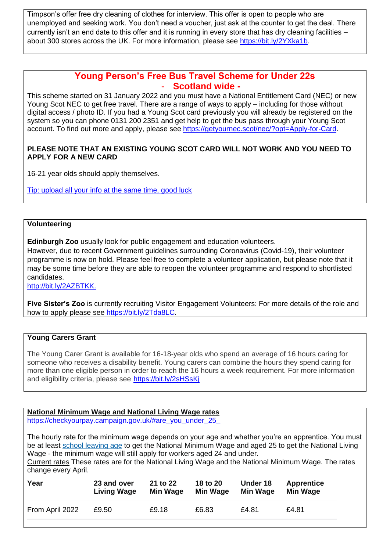Timpson's offer free dry cleaning of clothes for interview. This offer is open to people who are unemployed and seeking work. You don't need a voucher, just ask at the counter to get the deal. There currently isn't an end date to this offer and it is running in every store that has dry cleaning facilities – about 300 stores across the UK. For more information, please see [https://bit.ly/2YXka1b.](https://bit.ly/2YXka1b)

# **Young Person's Free Bus Travel Scheme for Under 22s** - **Scotland wide -**

This scheme started on 31 January 2022 and you must have a National Entitlement Card (NEC) or new Young Scot NEC to get free travel. There are a range of ways to apply – including for those without digital access / photo ID. If you had a Young Scot card previously you will already be registered on the system so you can phone 0131 200 2351 and get help to get the bus pass through your Young Scot account. To find out more and apply, please see [https://getyournec.scot/nec/?opt=Apply-for-Card.](https://getyournec.scot/nec/?opt=Apply-for-Card)

# **PLEASE NOTE THAT AN EXISTING YOUNG SCOT CARD WILL NOT WORK AND YOU NEED TO APPLY FOR A NEW CARD**

16-21 year olds should apply themselves.

Tip: upload all your info at the same time, good luck

## **Volunteering**

**Edinburgh Zoo** usually look for public engagement and education volunteers.

However, due to recent Government guidelines surrounding Coronavirus (Covid-19), their volunteer programme is now on hold. Please feel free to complete a volunteer application, but please note that it may be some time before they are able to reopen the volunteer programme and respond to shortlisted candidates.

[http://bit.ly/2AZBTKK.](http://bit.ly/2AZBTKK)

**Five Sister's Zoo** is currently recruiting Visitor Engagement Volunteers: For more details of the role and how to apply please see [https://bit.ly/2Tda8LC.](https://bit.ly/2Tda8LC)

#### **Young Carers Grant**

The Young Carer Grant is available for 16-18-year olds who spend an average of 16 hours caring for someone who receives a disability benefit. Young carers can combine the hours they spend caring for more than one eligible person in order to reach the 16 hours a week requirement. For more information and eligibility criteria, please see <https://bit.ly/2sHSsKj>

**National Minimum Wage and National Living Wage rates**  https://checkyourpay.campaign.gov.uk/#are\_you\_under\_25

The hourly rate for the minimum wage depends on your age and whether you're an apprentice. You must be at least school [leaving](https://www.gov.uk/know-when-you-can-leave-school) age to get the National Minimum Wage and aged 25 to get the National Living Wage - the minimum wage will still apply for workers aged 24 and under.

Current rates These rates are for the National Living Wage and the National Minimum Wage. The rates change every April.

| Year            | 23 and over        | 21 to 22 | 18 to 20        | Under 18 | <b>Apprentice</b> |
|-----------------|--------------------|----------|-----------------|----------|-------------------|
|                 | <b>Living Wage</b> | Min Wage | <b>Min Wage</b> | Min Wage | Min Wage          |
| From April 2022 | £9.50              | £9.18    | £6.83           | £4.81    | £4.81             |